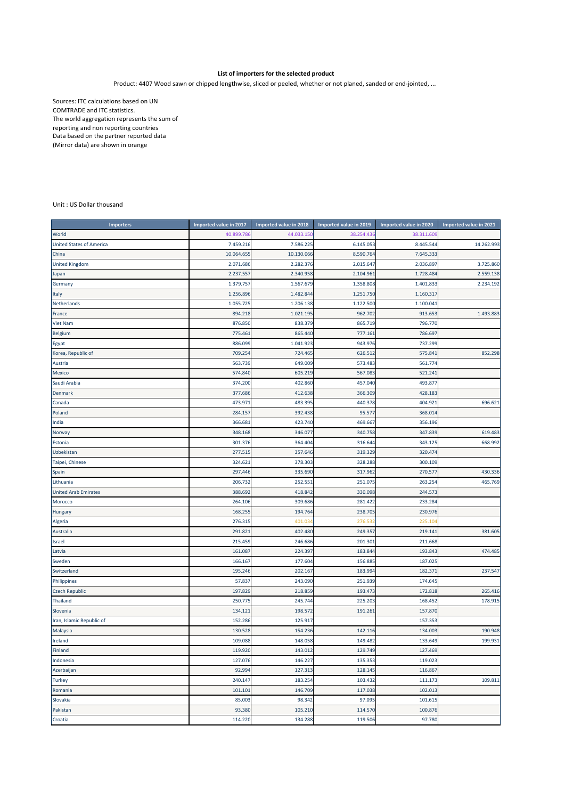## **List of importers for the selected product**

Product: 4407 Wood sawn or chipped lengthwise, sliced or peeled, whether or not planed, sanded or end‐jointed, ...

Sources: ITC calculations based on UN COMTRADE and ITC statistics. The world aggregation represents the sum of reporting and non reporting countries Data based on the partner reported data (Mirror data) are shown in orange

Unit : US Dollar thousand

| <b>Importers</b>                | Imported value in 2017 | Imported value in 2018 | Imported value in 2019 | Imported value in 2020 | Imported value in 2021 |
|---------------------------------|------------------------|------------------------|------------------------|------------------------|------------------------|
| World                           | 40.899.78              | 44.033.15              | 38.254.436             | 38.311.60              |                        |
| <b>United States of America</b> | 7.459.216              | 7.586.225              | 6.145.053              | 8.445.544              | 14.262.993             |
| China                           | 10.064.655             | 10.130.066             | 8.590.764              | 7.645.333              |                        |
| United Kingdom                  | 2.071.686              | 2.282.376              | 2.015.647              | 2.036.897              | 3.725.860              |
| Japan                           | 2.237.557              | 2.340.958              | 2.104.961              | 1.728.484              | 2.559.138              |
| Germany                         | 1.379.75               | 1.567.679              | 1.358.808              | 1.401.833              | 2.234.192              |
| Italy                           | 1.256.896              | 1.482.844              | 1.251.750              | 1.160.317              |                        |
| Netherlands                     | 1.055.72               | 1.206.138              | 1.122.500              | 1.100.04               |                        |
| France                          | 894.218                | 1.021.19               | 962.702                | 913.653                | 1.493.883              |
| <b>Viet Nam</b>                 | 876.850                | 838.379                | 865.719                | 796.770                |                        |
| <b>Belgium</b>                  | 775.46                 | 865.440                | 777.161                | 786.697                |                        |
| Egypt                           | 886.099                | 1.041.923              | 943.976                | 737.299                |                        |
| Korea, Republic of              | 709.254                | 724.465                | 626.512                | 575.84                 | 852.298                |
| Austria                         | 563.739                | 649.009                | 573.483                | 561.774                |                        |
| Mexico                          | 574.840                | 605.219                | 567.083                | 521.241                |                        |
| Saudi Arabia                    | 374.200                | 402.860                | 457.040                | 493.877                |                        |
| Denmark                         | 377.686                | 412.638                | 366.309                | 428.18                 |                        |
| Canada                          | 473.971                | 483.395                | 440.378                | 404.921                | 696.621                |
| Poland                          | 284.157                | 392.438                | 95.577                 | 368.014                |                        |
| India                           | 366.68                 | 423.740                | 469.667                | 356.196                |                        |
| Norway                          | 348.168                | 346.077                | 340.758                | 347.839                | 619.483                |
| Estonia                         | 301.376                | 364.404                | 316.644                | 343.125                | 668.992                |
| Uzbekistan                      | 277.515                | 357.646                | 319.329                | 320.474                |                        |
| Taipei, Chinese                 | 324.62:                | 378.303                | 328.288                | 300.109                |                        |
| Spain                           | 297.446                | 335.690                | 317.962                | 270.57                 | 430.336                |
| Lithuania                       | 206.732                | 252.551                | 251.075                | 263.254                | 465.769                |
| <b>United Arab Emirates</b>     | 388.692                | 418.842                | 330.098                | 244.573                |                        |
| Morocco                         | 264.106                | 309.686                | 281.422                | 233.284                |                        |
| Hungary                         | 168.255                | 194.764                | 238.705                | 230.976                |                        |
| Algeria                         | 276.315                | 401.03                 | 276.532                | 225.10                 |                        |
| Australia                       | 291.82                 | 402.480                | 249.357                | 219.141                | 381.605                |
| Israel                          | 215.459                | 246.686                | 201.301                | 211.668                |                        |
| Latvia                          | 161.087                | 224.397                | 183.844                | 193.843                | 474.485                |
| Sweden                          | 166.167                | 177.604                | 156.885                | 187.02                 |                        |
| Switzerland                     | 195.246                | 202.167                | 183.994                | 182.37                 | 237.547                |
| Philippines                     | 57.837                 | 243.090                | 251.939                | 174.64                 |                        |
| <b>Czech Republic</b>           | 197.829                | 218.859                | 193.473                | 172.818                | 265.416                |
| <b>Thailand</b>                 | 250.77                 | 245.744                | 225.203                | 168.452                | 178.915                |
| Slovenia                        | 134.12:                | 198.572                | 191.261                | 157.870                |                        |
| Iran, Islamic Republic of       | 152.286                | 125.917                |                        | 157.353                |                        |
| Malaysia                        | 130.528                | 154.236                | 142.116                | 134.003                | 190.948                |
| Ireland                         | 109.088                | 148.058                | 149.482                | 133.649                | 199.931                |
| Finland                         | 119.920                | 143.012                | 129.749                | 127.469                |                        |
| Indonesia                       | 127.076                | 146.227                | 135.353                | 119.023                |                        |
| Azerbaijan                      | 92.994                 | 127.313                | 128.145                | 116.867                |                        |
| <b>Turkey</b>                   | 240.147                | 183.254                | 103.432                | 111.173                | 109.811                |
| Romania                         | 101.10:                | 146.709                | 117.038                | 102.013                |                        |
| Slovakia                        | 85.003                 | 98.342                 | 97.095                 | 101.615                |                        |
| Pakistan                        | 93.380                 | 105.210                | 114.570                | 100.876                |                        |
| Croatia                         | 114.220                | 134.288                | 119.506                | 97.780                 |                        |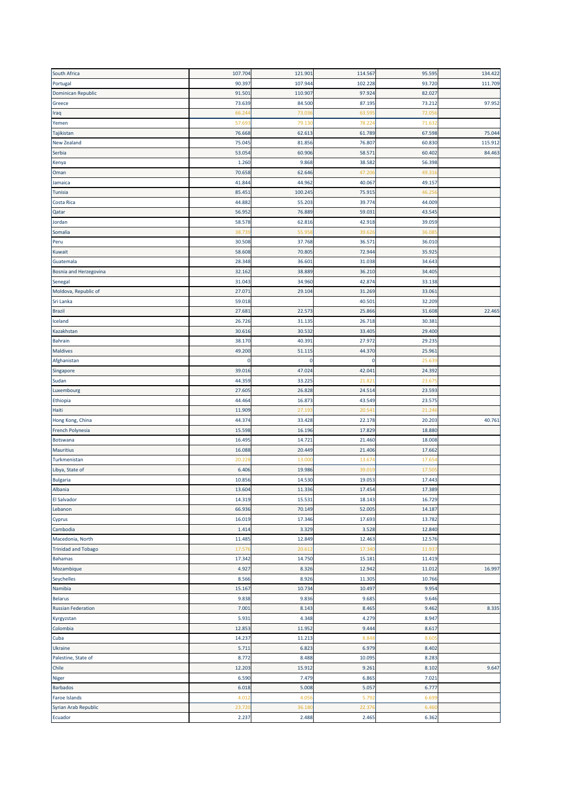| South Africa               | 107.704 | 121.901 | 114.567     | 95.595 | 134.422 |
|----------------------------|---------|---------|-------------|--------|---------|
| Portugal                   | 90.397  | 107.944 | 102.228     | 93.720 | 111.709 |
| Dominican Republic         | 91.501  | 110.907 | 97.924      | 82.027 |         |
| Greece                     | 73.639  | 84.500  | 87.195      | 73.212 | 97.952  |
| Iraq                       | 66.24   | 73.03   | 63.59       | 72.05  |         |
| Yemen                      | 57.69   | 79.13   | 78.22       | 71.63  |         |
|                            | 76.668  | 62.613  | 61.789      | 67.598 | 75.044  |
| Tajikistan                 |         |         |             |        |         |
| <b>New Zealand</b>         | 75.045  | 81.856  | 76.807      | 60.830 | 115.912 |
| Serbia                     | 53.054  | 60.906  | 58.571      | 60.402 | 84.463  |
| Kenya                      | 1.260   | 9.868   | 38.582      | 56.398 |         |
| Oman                       | 70.658  | 62.646  | 47.20       | 49.31  |         |
| Jamaica                    | 41.844  | 44.962  | 40.067      | 49.157 |         |
| Tunisia                    | 85.451  | 100.245 | 75.91       | 46.25  |         |
| <b>Costa Rica</b>          | 44.882  | 55.203  | 39.774      | 44.009 |         |
| Qatar                      | 56.952  | 76.889  | 59.031      | 43.545 |         |
| Jordan                     | 58.578  | 62.816  | 42.918      | 39.059 |         |
| Somalia                    | 38.73   | 55.95   | 39.62       | 36.08  |         |
| Peru                       | 30.508  | 37.768  | 36.571      | 36.010 |         |
| Kuwait                     | 58.608  | 70.80   | 72.944      | 35.925 |         |
| Guatemala                  | 28.348  | 36.60   | 31.038      | 34.643 |         |
| Bosnia and Herzegovina     | 32.162  | 38.889  | 36.210      | 34.405 |         |
| Senegal                    | 31.043  | 34.960  | 42.874      | 33.138 |         |
|                            |         |         |             |        |         |
| Moldova, Republic of       | 27.071  | 29.104  | 31.269      | 33.06: |         |
| Sri Lanka                  | 59.018  |         | 40.501      | 32.209 |         |
| Brazil                     | 27.681  | 22.573  | 25.866      | 31.608 | 22.465  |
| Iceland                    | 26.726  | 31.135  | 26.718      | 30.38  |         |
| Kazakhstan                 | 30.616  | 30.532  | 33.405      | 29.400 |         |
| Bahrain                    | 38.170  | 40.39   | 27.972      | 29.235 |         |
| Maldives                   | 49.200  | 51.11   | 44.370      | 25.961 |         |
| Afghanistan                | 0       | 0       | $\mathbf 0$ | 25.63  |         |
| Singapore                  | 39.016  | 47.024  | 42.041      | 24.392 |         |
| Sudan                      | 44.359  | 33.225  | 21.82       | 23.67  |         |
| Luxembourg                 | 27.605  | 26.828  | 24.514      | 23.593 |         |
| Ethiopia                   | 44.464  | 16.873  | 43.549      | 23.575 |         |
| Haiti                      | 11.909  | 27.19   | 20.541      | 21.24  |         |
| Hong Kong, China           | 44.374  | 33.428  | 22.178      | 20.203 | 40.761  |
| French Polynesia           | 15.598  | 16.196  | 17.829      | 18.880 |         |
| Botswana                   | 16.495  | 14.72   | 21.460      | 18.008 |         |
|                            |         |         |             |        |         |
| <b>Mauritius</b>           | 16.088  | 20.449  | 21.406      | 17.662 |         |
| Turkmenistan               | 20.22   | 13.00   | 13.67       | 17.65  |         |
| Libya, State of            | 6.406   | 19.986  | 39.01       | 17.50  |         |
| <b>Bulgaria</b>            | 10.856  | 14.530  | 19.053      | 17.443 |         |
| Albania                    | 13.604  | 11.336  |             |        |         |
| El Salvador                |         |         | 17.454      | 17.389 |         |
|                            | 14.319  | 15.531  | 18.143      | 16.729 |         |
| Lebanon                    | 66.936  | 70.149  | 52.005      | 14.187 |         |
| Cyprus                     | 16.019  | 17.346  | 17.693      | 13.782 |         |
| Cambodia                   | 1.414   | 3.329   | 3.528       | 12.840 |         |
| Macedonia, North           | 11.485  | 12.849  | 12.463      | 12.576 |         |
| <b>Trinidad and Tobago</b> | 17.576  | 20.61   | 17.34       | 11.93  |         |
| <b>Bahamas</b>             | 17.342  | 14.750  | 15.181      | 11.419 |         |
|                            |         |         |             |        |         |
| Mozambique                 | 4.927   | 8.326   | 12.942      | 11.012 | 16.997  |
| Seychelles                 | 8.566   | 8.926   | 11.305      | 10.766 |         |
| Namibia                    | 15.167  | 10.734  | 10.497      | 9.954  |         |
| <b>Belarus</b>             | 9.838   | 9.836   | 9.685       | 9.646  |         |
| <b>Russian Federation</b>  | 7.001   | 8.143   | 8.465       | 9.462  | 8.335   |
| Kyrgyzstan                 | 5.931   | 4.348   | 4.279       | 8.947  |         |
|                            | 12.853  | 11.952  | 9.444       | 8.617  |         |
| Colombia<br>Cuba           | 14.237  | 11.213  | 8.848       | 8.60   |         |
| Ukraine                    | 5.711   | 6.823   | 6.979       | 8.402  |         |
| Palestine, State of        | 8.772   | 8.488   | 10.095      | 8.283  |         |
| Chile                      | 12.203  | 15.912  | 9.261       | 8.102  | 9.647   |
| Niger                      | 6.590   | 7.479   | 6.865       | 7.021  |         |
| <b>Barbados</b>            | 6.018   | 5.008   | 5.057       | 6.77   |         |
| Faroe Islands              | 4.01    | 4.05    | 5.792       | 6.69   |         |
| Syrian Arab Republic       | 23.720  | 36.18   | 22.376      | 6.46   |         |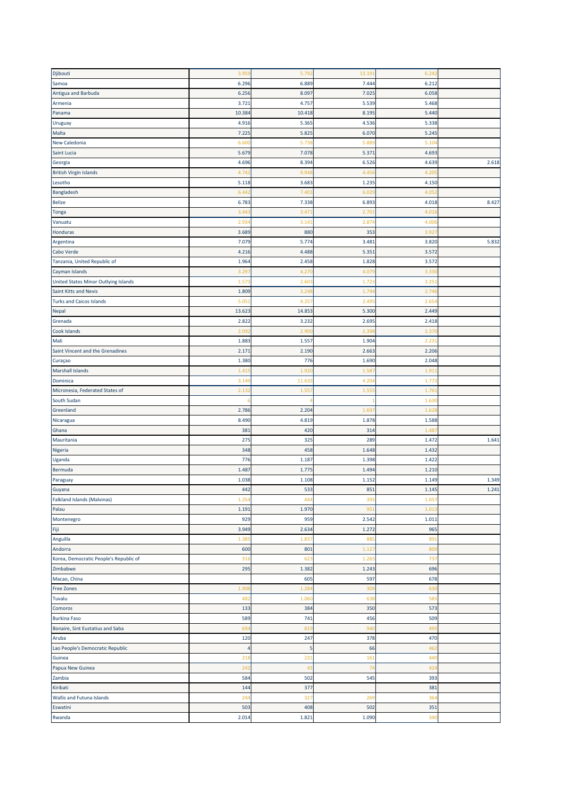| Djibouti                               | 3.959          | 5.792  | 13.191 | 6.24            |       |
|----------------------------------------|----------------|--------|--------|-----------------|-------|
| Samoa                                  | 6.296          | 6.889  | 7.444  | 6.212           |       |
| Antigua and Barbuda                    | 6.256          | 8.097  | 7.025  | 6.058           |       |
| Armenia                                | 3.721          | 4.757  | 5.539  | 5.468           |       |
|                                        |                |        |        |                 |       |
| Panama                                 | 10.384         | 10.418 | 8.195  | 5.440           |       |
| Uruguay                                | 4.916          | 5.36   | 4.536  | 5.338           |       |
| Malta                                  | 7.225          | 5.825  | 6.070  | 5.245           |       |
| New Caledonia                          | 6.60           | 5.738  | 5.889  | 5.10            |       |
| <b>Saint Lucia</b>                     | 5.679          | 7.078  | 5.371  | 4.693           |       |
| Georgia                                | 4.696          | 8.394  | 6.526  | 4.639           | 2.618 |
| <b>British Virgin Islands</b>          | 4.74           | 9.94   | 4.45   | 4.20            |       |
| Lesotho                                | 5.118          | 3.683  | 1.235  | 4.150           |       |
|                                        |                |        |        |                 |       |
| Bangladesh                             | 6.442          | 7.40   | 6.02   | 4.05            |       |
| <b>Belize</b>                          | 6.783          | 7.338  | 6.893  | 4.018           | 8.427 |
| Tonga                                  | 3.44           | 3.47   | 2.701  | 4.01            |       |
| Vanuatu                                | 2.934          | 3.14   | 2.87   | 4.00            |       |
| Honduras                               | 3.689          | 880    | 353    | 3.92            |       |
| Argentina                              | 7.079          | 5.774  | 3.481  | 3.820           | 5.832 |
| Cabo Verde                             | 4.216          | 4.488  | 5.351  | 3.572           |       |
|                                        |                |        |        |                 |       |
| Tanzania, United Republic of           | 1.964          | 2.458  | 1.828  | 3.57            |       |
| Cayman Islands                         | 3.29           | 4.27   | 4.07   | 3.33            |       |
| United States Minor Outlying Islands   | 1.57           | 2.60   | 1.72   | 3.25            |       |
| Saint Kitts and Nevis                  | 1.809          | 3.24   | 1.74   | 2.74            |       |
| <b>Turks and Caicos Islands</b>        | 5.05           | 4.25   | 2.49   | 2.65            |       |
| Nepal                                  | 13.623         | 14.853 | 5.300  | 2.449           |       |
| Grenada                                | 2.822          | 3.232  | 2.695  | 2.418           |       |
| Cook Islands                           | 2.09           | 2.90   | 2.39   | 2.37            |       |
|                                        | 1.883          | 1.557  | 1.904  | 2.23            |       |
| Mali                                   |                |        |        |                 |       |
| Saint Vincent and the Grenadines       | 2.171          | 2.190  | 2.663  | 2.206           |       |
| Curaçao                                | 1.380          | 776    | 1.690  | 2.048           |       |
| <b>Marshall Islands</b>                | 1.41           | 1.92   | 1.587  | 1.91            |       |
| Dominica                               | 3.14           | 11.63  | 4.20   | 1.77            |       |
| Micronesia, Federated States of        | 2.132          | 1.55   | 1.55   | 1.76            |       |
| South Sudan                            |                |        |        | 1.63            |       |
| Greenland                              | 2.786          | 2.204  | 1.69   | 1.62            |       |
| Nicaragua                              | 8.490          | 4.819  | 1.878  | 1.588           |       |
|                                        | 381            |        |        |                 |       |
| Ghana                                  |                | 420    | 314    | 1.48            |       |
| Mauritania                             | 275            | 325    | 289    | 1.472           | 1.641 |
| Nigeria                                | 348            | 458    | 1.648  | 1.432           |       |
| Uganda                                 | 776            | 1.187  | 1.398  | 1.422           |       |
| Bermuda                                | 1.487          | 1.775  | 1.494  | 1.210           |       |
| Paraguay                               | 1.038          | 1.108  | 1.152  | 1.149           | 1.349 |
| Guyana                                 | 442            | 533    | 851    | 1.145           | 1.241 |
| <b>Falkland Islands (Malvinas)</b>     | 1.254          | 444    | 393    | 1.05            |       |
| Palau                                  | 1.191          | 1.970  | 951    | 1.01            |       |
|                                        |                |        |        |                 |       |
| Montenegro                             | 929            | 959    | 2.542  | 1.011           |       |
| Fiji                                   | 3.949          | 2.634  | 1.272  | 965             |       |
| Anguilla                               | 1.38           | 1.837  | 885    | 89              |       |
| Andorra                                | 600            | 801    | 1.12   | 80              |       |
| Korea, Democratic People's Republic of | 316            | 623    | 1.26   | 737             |       |
| Zimbabwe                               | 295            | 1.382  | 1.243  | 696             |       |
| Macao, China                           |                | 605    | 597    | 678             |       |
| Free Zones                             | 1.90           | 1.28   | 309    | 630             |       |
|                                        |                |        |        |                 |       |
| Tuvalu                                 | 482            | 1.06   | 638    | 58              |       |
| Comoros                                | 133            | 384    | 350    | 573             |       |
| <b>Burkina Faso</b>                    | 589            | 741    | 456    | 509             |       |
| Bonaire, Sint Eustatius and Saba       | 694            | 819    | 940    | 49              |       |
| Aruba                                  | 120            | 247    | 378    | 470             |       |
| Lao People's Democratic Republic       | $\overline{4}$ | 5      | 66     | 462             |       |
| Guinea                                 | 218            | 231    | 161    | 440             |       |
| Papua New Guinea                       | 242            | 43     | 74     | 42 <sub>4</sub> |       |
| Zambia                                 | 584            | 502    | 545    | 393             |       |
|                                        | 144            | 377    |        |                 |       |
| Kiribati                               |                |        |        | 381             |       |
| <b>Wallis and Futuna Islands</b>       | 244            | 327    | 269    | 364             |       |
| Eswatini                               | 503            | 408    | 502    | 351             |       |
|                                        | 2.014          | 1.821  | 1.090  | 340             |       |